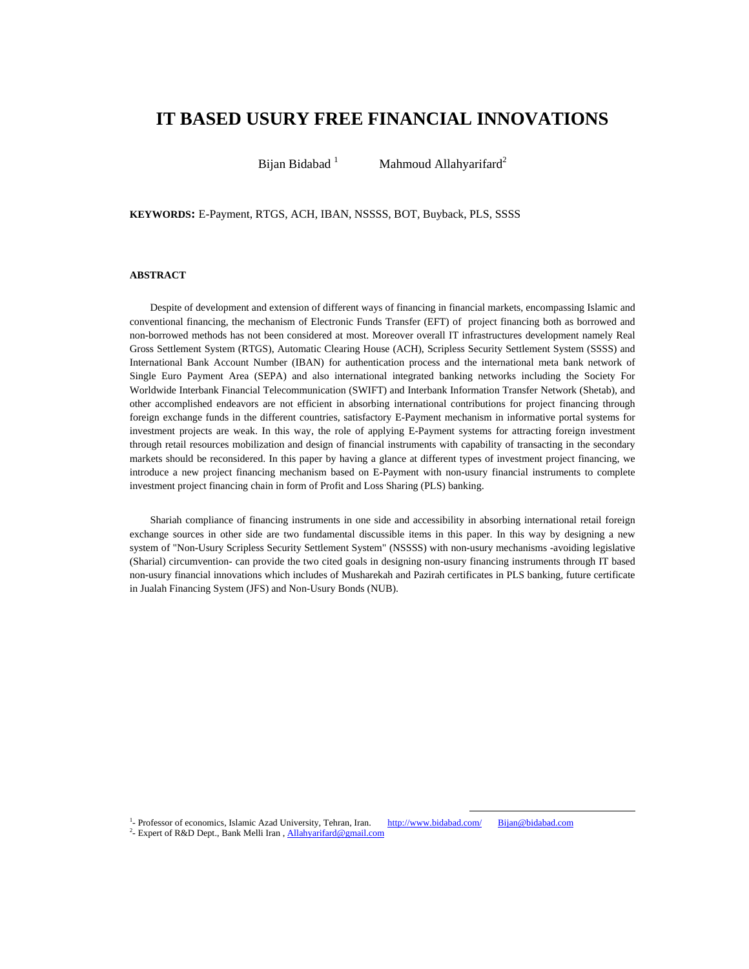# **IT BASED USURY FREE FINANCIAL INNOVATIONS**

Bijan Bidabad<sup>1</sup> Mahmoud Allahyarifard<sup>2</sup>

**KEYWORDS:** E-Payment, RTGS, ACH, IBAN, NSSSS, BOT, Buyback, PLS, SSSS

### **ABSTRACT**

Despite of development and extension of different ways of financing in financial markets, encompassing Islamic and conventional financing, the mechanism of Electronic Funds Transfer (EFT) of project financing both as borrowed and non-borrowed methods has not been considered at most. Moreover overall IT infrastructures development namely Real Gross Settlement System (RTGS), Automatic Clearing House (ACH), Scripless Security Settlement System (SSSS) and International Bank Account Number (IBAN) for authentication process and the international meta bank network of Single Euro Payment Area (SEPA) and also international integrated banking networks including the Society For Worldwide Interbank Financial Telecommunication (SWIFT) and Interbank Information Transfer Network (Shetab), and other accomplished endeavors are not efficient in absorbing international contributions for project financing through foreign exchange funds in the different countries, satisfactory E-Payment mechanism in informative portal systems for investment projects are weak. In this way, the role of applying E-Payment systems for attracting foreign investment through retail resources mobilization and design of financial instruments with capability of transacting in the secondary markets should be reconsidered. In this paper by having a glance at different types of investment project financing, we introduce a new project financing mechanism based on E-Payment with non-usury financial instruments to complete investment project financing chain in form of Profit and Loss Sharing (PLS) banking.

Shariah compliance of financing instruments in one side and accessibility in absorbing international retail foreign exchange sources in other side are two fundamental discussible items in this paper. In this way by designing a new system of "Non-Usury Scripless Security Settlement System" (NSSSS) with non-usury mechanisms -avoiding legislative (Sharial) circumvention- can provide the two cited goals in designing non-usury financing instruments through IT based non-usury financial innovations which includes of Musharekah and Pazirah certificates in PLS banking, future certificate in Jualah Financing System (JFS) and Non-Usury Bonds (NUB).

<sup>1</sup>- Professor of economics, Islamic Azad University, Tehran, Iran.  $\frac{http://www.bidabad.com/}{http://www.bidabad.com/}$  Bijan@bidabad.com <sup>2</sup> Expert of R&D Dept., Bank Melli Iran, Allahyarifard@gmail.com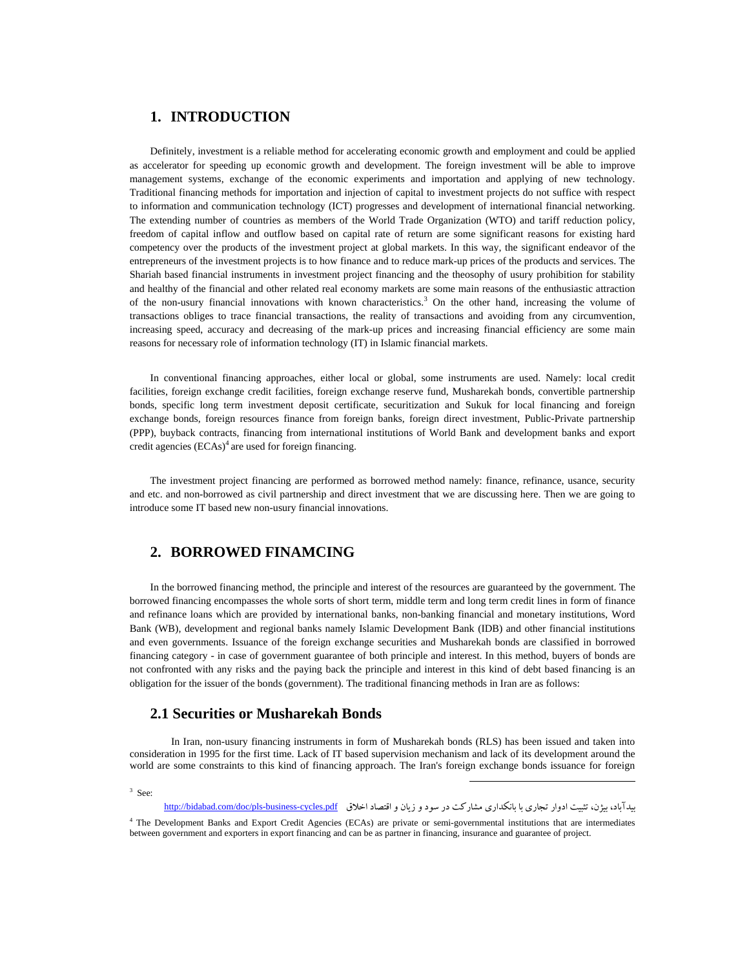## **1. INTRODUCTION**

Definitely, investment is a reliable method for accelerating economic growth and employment and could be applied as accelerator for speeding up economic growth and development. The foreign investment will be able to improve management systems, exchange of the economic experiments and importation and applying of new technology. Traditional financing methods for importation and injection of capital to investment projects do not suffice with respect to information and communication technology (ICT) progresses and development of international financial networking. The extending number of countries as members of the World Trade Organization (WTO) and tariff reduction policy, freedom of capital inflow and outflow based on capital rate of return are some significant reasons for existing hard competency over the products of the investment project at global markets. In this way, the significant endeavor of the entrepreneurs of the investment projects is to how finance and to reduce mark-up prices of the products and services. The Shariah based financial instruments in investment project financing and the theosophy of usury prohibition for stability and healthy of the financial and other related real economy markets are some main reasons of the enthusiastic attraction of the non-usury financial innovations with known characteristics.<sup>3</sup> On the other hand, increasing the volume of transactions obliges to trace financial transactions, the reality of transactions and avoiding from any circumvention, increasing speed, accuracy and decreasing of the mark-up prices and increasing financial efficiency are some main reasons for necessary role of information technology (IT) in Islamic financial markets.

In conventional financing approaches, either local or global, some instruments are used. Namely: local credit facilities, foreign exchange credit facilities, foreign exchange reserve fund, Musharekah bonds, convertible partnership bonds, specific long term investment deposit certificate, securitization and Sukuk for local financing and foreign exchange bonds, foreign resources finance from foreign banks, foreign direct investment, Public-Private partnership (PPP), buyback contracts, financing from international institutions of World Bank and development banks and export credit agencies  $(ECAs)^4$  are used for foreign financing.

The investment project financing are performed as borrowed method namely: finance, refinance, usance, security and etc. and non-borrowed as civil partnership and direct investment that we are discussing here. Then we are going to introduce some IT based new non-usury financial innovations.

## **2. BORROWED FINAMCING**

In the borrowed financing method, the principle and interest of the resources are guaranteed by the government. The borrowed financing encompasses the whole sorts of short term, middle term and long term credit lines in form of finance and refinance loans which are provided by international banks, non-banking financial and monetary institutions, Word Bank (WB), development and regional banks namely Islamic Development Bank (IDB) and other financial institutions and even governments. Issuance of the foreign exchange securities and Musharekah bonds are classified in borrowed financing category - in case of government guarantee of both principle and interest. In this method, buyers of bonds are not confronted with any risks and the paying back the principle and interest in this kind of debt based financing is an obligation for the issuer of the bonds (government). The traditional financing methods in Iran are as follows:

## **2.1 Securities or Musharekah Bonds**

 In Iran, non-usury financing instruments in form of Musharekah bonds (RLS) has been issued and taken into consideration in 1995 for the first time. Lack of IT based supervision mechanism and lack of its development around the world are some constraints to this kind of financing approach. The Iran's foreign exchange bonds issuance for foreign

 $3$  See:

بيدآباد، بيژن، تثبيت ادوار تجاري با بانكداري مشاركت در سود و زيان و اقتصاد اخلاق http://bidabad.com/doc/pls-business-cycles.pdf

<sup>4</sup> The Development Banks and Export Credit Agencies (ECAs) are private or semi-governmental institutions that are intermediates between government and exporters in export financing and can be as partner in financing, insurance and guarantee of project.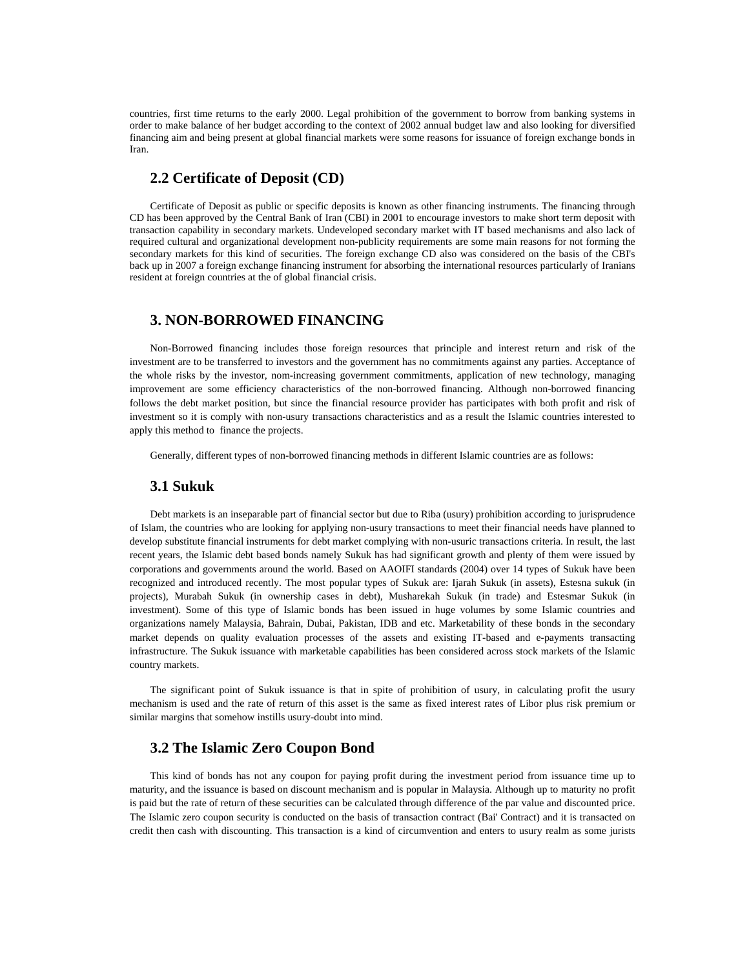countries, first time returns to the early 2000. Legal prohibition of the government to borrow from banking systems in order to make balance of her budget according to the context of 2002 annual budget law and also looking for diversified financing aim and being present at global financial markets were some reasons for issuance of foreign exchange bonds in Iran.

## **2.2 Certificate of Deposit (CD)**

Certificate of Deposit as public or specific deposits is known as other financing instruments. The financing through CD has been approved by the Central Bank of Iran (CBI) in 2001 to encourage investors to make short term deposit with transaction capability in secondary markets. Undeveloped secondary market with IT based mechanisms and also lack of required cultural and organizational development non-publicity requirements are some main reasons for not forming the secondary markets for this kind of securities. The foreign exchange CD also was considered on the basis of the CBI's back up in 2007 a foreign exchange financing instrument for absorbing the international resources particularly of Iranians resident at foreign countries at the of global financial crisis.

### **3. NON-BORROWED FINANCING**

Non-Borrowed financing includes those foreign resources that principle and interest return and risk of the investment are to be transferred to investors and the government has no commitments against any parties. Acceptance of the whole risks by the investor, nom-increasing government commitments, application of new technology, managing improvement are some efficiency characteristics of the non-borrowed financing. Although non-borrowed financing follows the debt market position, but since the financial resource provider has participates with both profit and risk of investment so it is comply with non-usury transactions characteristics and as a result the Islamic countries interested to apply this method to finance the projects.

Generally, different types of non-borrowed financing methods in different Islamic countries are as follows:

### **3.1 Sukuk**

Debt markets is an inseparable part of financial sector but due to Riba (usury) prohibition according to jurisprudence of Islam, the countries who are looking for applying non-usury transactions to meet their financial needs have planned to develop substitute financial instruments for debt market complying with non-usuric transactions criteria. In result, the last recent years, the Islamic debt based bonds namely Sukuk has had significant growth and plenty of them were issued by corporations and governments around the world. Based on AAOIFI standards (2004) over 14 types of Sukuk have been recognized and introduced recently. The most popular types of Sukuk are: Ijarah Sukuk (in assets), Estesna sukuk (in projects), Murabah Sukuk (in ownership cases in debt), Musharekah Sukuk (in trade) and Estesmar Sukuk (in investment). Some of this type of Islamic bonds has been issued in huge volumes by some Islamic countries and organizations namely Malaysia, Bahrain, Dubai, Pakistan, IDB and etc. Marketability of these bonds in the secondary market depends on quality evaluation processes of the assets and existing IT-based and e-payments transacting infrastructure. The Sukuk issuance with marketable capabilities has been considered across stock markets of the Islamic country markets.

The significant point of Sukuk issuance is that in spite of prohibition of usury, in calculating profit the usury mechanism is used and the rate of return of this asset is the same as fixed interest rates of Libor plus risk premium or similar margins that somehow instills usury-doubt into mind.

## **3.2 The Islamic Zero Coupon Bond**

This kind of bonds has not any coupon for paying profit during the investment period from issuance time up to maturity, and the issuance is based on discount mechanism and is popular in Malaysia. Although up to maturity no profit is paid but the rate of return of these securities can be calculated through difference of the par value and discounted price. The Islamic zero coupon security is conducted on the basis of transaction contract (Bai' Contract) and it is transacted on credit then cash with discounting. This transaction is a kind of circumvention and enters to usury realm as some jurists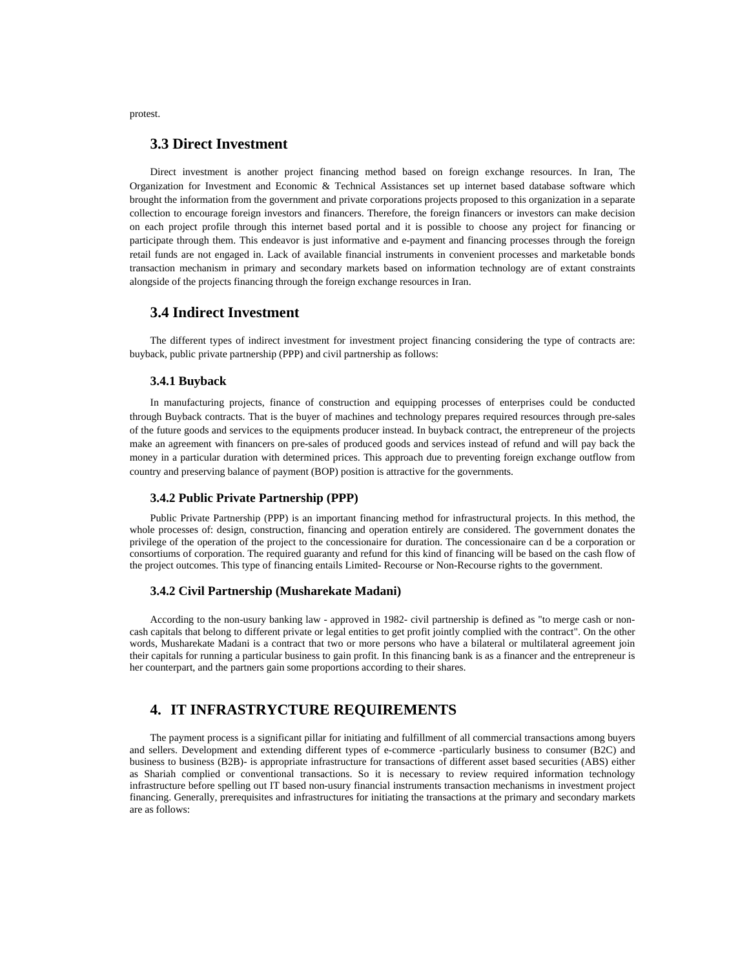protest.

## **3.3 Direct Investment**

Direct investment is another project financing method based on foreign exchange resources. In Iran, The Organization for Investment and Economic & Technical Assistances set up internet based database software which brought the information from the government and private corporations projects proposed to this organization in a separate collection to encourage foreign investors and financers. Therefore, the foreign financers or investors can make decision on each project profile through this internet based portal and it is possible to choose any project for financing or participate through them. This endeavor is just informative and e-payment and financing processes through the foreign retail funds are not engaged in. Lack of available financial instruments in convenient processes and marketable bonds transaction mechanism in primary and secondary markets based on information technology are of extant constraints alongside of the projects financing through the foreign exchange resources in Iran.

## **3.4 Indirect Investment**

The different types of indirect investment for investment project financing considering the type of contracts are: buyback, public private partnership (PPP) and civil partnership as follows:

### **3.4.1 Buyback**

In manufacturing projects, finance of construction and equipping processes of enterprises could be conducted through Buyback contracts. That is the buyer of machines and technology prepares required resources through pre-sales of the future goods and services to the equipments producer instead. In buyback contract, the entrepreneur of the projects make an agreement with financers on pre-sales of produced goods and services instead of refund and will pay back the money in a particular duration with determined prices. This approach due to preventing foreign exchange outflow from country and preserving balance of payment (BOP) position is attractive for the governments.

#### **3.4.2 Public Private Partnership (PPP)**

Public Private Partnership (PPP) is an important financing method for infrastructural projects. In this method, the whole processes of: design, construction, financing and operation entirely are considered. The government donates the privilege of the operation of the project to the concessionaire for duration. The concessionaire can d be a corporation or consortiums of corporation. The required guaranty and refund for this kind of financing will be based on the cash flow of the project outcomes. This type of financing entails Limited- Recourse or Non-Recourse rights to the government.

#### **3.4.2 Civil Partnership (Musharekate Madani)**

According to the non-usury banking law - approved in 1982- civil partnership is defined as "to merge cash or noncash capitals that belong to different private or legal entities to get profit jointly complied with the contract". On the other words, Musharekate Madani is a contract that two or more persons who have a bilateral or multilateral agreement join their capitals for running a particular business to gain profit. In this financing bank is as a financer and the entrepreneur is her counterpart, and the partners gain some proportions according to their shares.

## **4. IT INFRASTRYCTURE REQUIREMENTS**

The payment process is a significant pillar for initiating and fulfillment of all commercial transactions among buyers and sellers. Development and extending different types of e-commerce -particularly business to consumer (B2C) and business to business (B2B)- is appropriate infrastructure for transactions of different asset based securities (ABS) either as Shariah complied or conventional transactions. So it is necessary to review required information technology infrastructure before spelling out IT based non-usury financial instruments transaction mechanisms in investment project financing. Generally, prerequisites and infrastructures for initiating the transactions at the primary and secondary markets are as follows: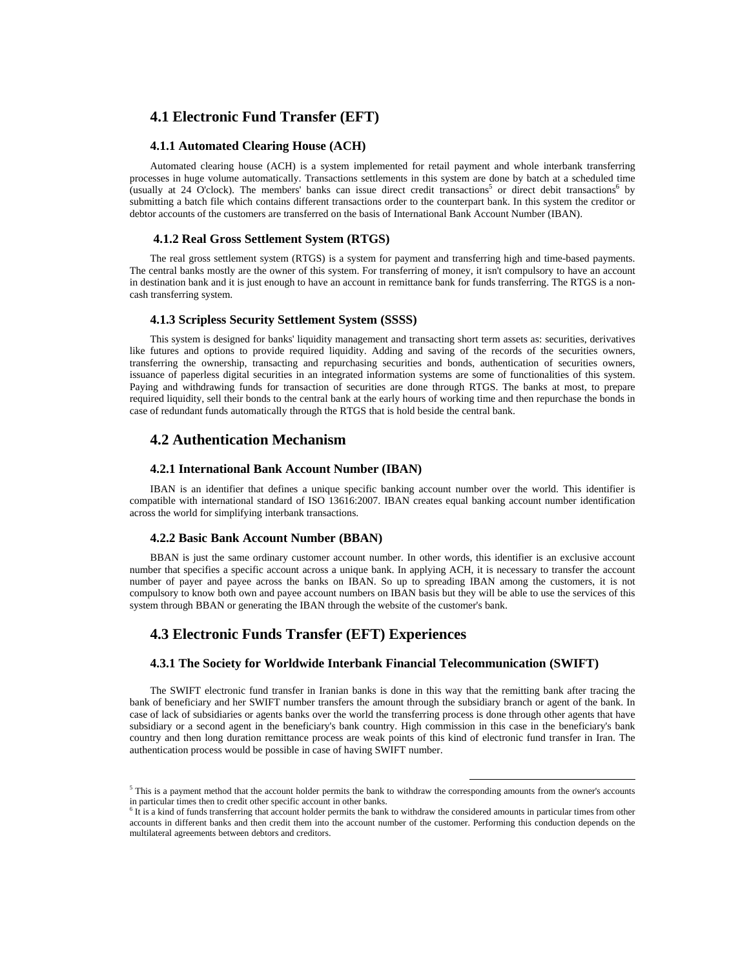## **4.1 Electronic Fund Transfer (EFT)**

#### **4.1.1 Automated Clearing House (ACH)**

Automated clearing house (ACH) is a system implemented for retail payment and whole interbank transferring processes in huge volume automatically. Transactions settlements in this system are done by batch at a scheduled time (usually at 24 O'clock). The members' banks can issue direct credit transactions<sup>5</sup> or direct debit transactions<sup>6</sup> by submitting a batch file which contains different transactions order to the counterpart bank. In this system the creditor or debtor accounts of the customers are transferred on the basis of International Bank Account Number (IBAN).

#### **4.1.2 Real Gross Settlement System (RTGS)**

The real gross settlement system (RTGS) is a system for payment and transferring high and time-based payments. The central banks mostly are the owner of this system. For transferring of money, it isn't compulsory to have an account in destination bank and it is just enough to have an account in remittance bank for funds transferring. The RTGS is a noncash transferring system.

#### **4.1.3 Scripless Security Settlement System (SSSS)**

This system is designed for banks' liquidity management and transacting short term assets as: securities, derivatives like futures and options to provide required liquidity. Adding and saving of the records of the securities owners, transferring the ownership, transacting and repurchasing securities and bonds, authentication of securities owners, issuance of paperless digital securities in an integrated information systems are some of functionalities of this system. Paying and withdrawing funds for transaction of securities are done through RTGS. The banks at most, to prepare required liquidity, sell their bonds to the central bank at the early hours of working time and then repurchase the bonds in case of redundant funds automatically through the RTGS that is hold beside the central bank.

### **4.2 Authentication Mechanism**

#### **4.2.1 International Bank Account Number (IBAN)**

IBAN is an identifier that defines a unique specific banking account number over the world. This identifier is compatible with international standard of ISO 13616:2007. IBAN creates equal banking account number identification across the world for simplifying interbank transactions.

#### **4.2.2 Basic Bank Account Number (BBAN)**

BBAN is just the same ordinary customer account number. In other words, this identifier is an exclusive account number that specifies a specific account across a unique bank. In applying ACH, it is necessary to transfer the account number of payer and payee across the banks on IBAN. So up to spreading IBAN among the customers, it is not compulsory to know both own and payee account numbers on IBAN basis but they will be able to use the services of this system through BBAN or generating the IBAN through the website of the customer's bank.

## **4.3 Electronic Funds Transfer (EFT) Experiences**

### **4.3.1 The Society for Worldwide Interbank Financial Telecommunication (SWIFT)**

The SWIFT electronic fund transfer in Iranian banks is done in this way that the remitting bank after tracing the bank of beneficiary and her SWIFT number transfers the amount through the subsidiary branch or agent of the bank. In case of lack of subsidiaries or agents banks over the world the transferring process is done through other agents that have subsidiary or a second agent in the beneficiary's bank country. High commission in this case in the beneficiary's bank country and then long duration remittance process are weak points of this kind of electronic fund transfer in Iran. The authentication process would be possible in case of having SWIFT number.

 $5$  This is a payment method that the account holder permits the bank to withdraw the corresponding amounts from the owner's accounts in particular times then to credit other specific account in other banks.

 $6\text{ It}$  is a kind of funds transferring that account holder permits the bank to withdraw the considered amounts in particular times from other accounts in different banks and then credit them into the account number of the customer. Performing this conduction depends on the multilateral agreements between debtors and creditors.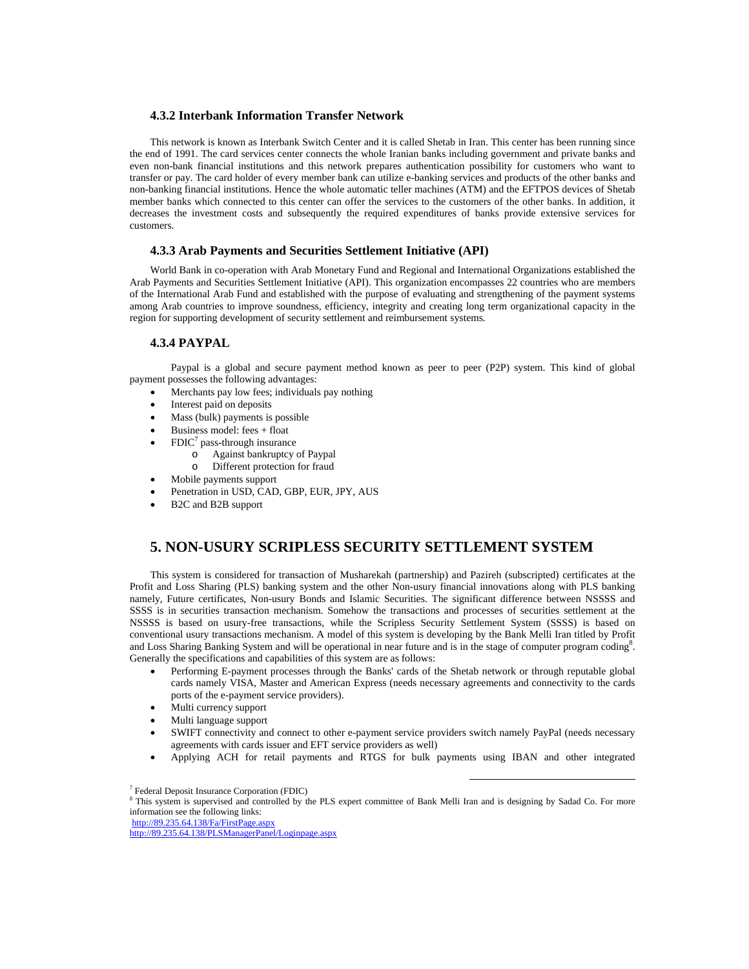### **4.3.2 Interbank Information Transfer Network**

This network is known as Interbank Switch Center and it is called Shetab in Iran. This center has been running since the end of 1991. The card services center connects the whole Iranian banks including government and private banks and even non-bank financial institutions and this network prepares authentication possibility for customers who want to transfer or pay. The card holder of every member bank can utilize e-banking services and products of the other banks and non-banking financial institutions. Hence the whole automatic teller machines (ATM) and the EFTPOS devices of Shetab member banks which connected to this center can offer the services to the customers of the other banks. In addition, it decreases the investment costs and subsequently the required expenditures of banks provide extensive services for customers.

### **4.3.3 Arab Payments and Securities Settlement Initiative (API)**

World Bank in co-operation with Arab Monetary Fund and Regional and International Organizations established the Arab Payments and Securities Settlement Initiative (API). This organization encompasses 22 countries who are members of the International Arab Fund and established with the purpose of evaluating and strengthening of the payment systems among Arab countries to improve soundness, efficiency, integrity and creating long term organizational capacity in the region for supporting development of security settlement and reimbursement systems.

## **4.3.4 PAYPAL**

 Paypal is a global and secure payment method known as peer to peer (P2P) system. This kind of global payment possesses the following advantages:

- Merchants pay low fees; individuals pay nothing
- Interest paid on deposits
- Mass (bulk) payments is possible
- Business model: fees + float
- FDIC<sup>7</sup> pass-through insurance
	- o Against bankruptcy of Paypal
	- o Different protection for fraud
	- Mobile payments support
- Penetration in USD, CAD, GBP, EUR, JPY, AUS
- B2C and B2B support

## **5. NON-USURY SCRIPLESS SECURITY SETTLEMENT SYSTEM**

This system is considered for transaction of Musharekah (partnership) and Pazireh (subscripted) certificates at the Profit and Loss Sharing (PLS) banking system and the other Non-usury financial innovations along with PLS banking namely, Future certificates, Non-usury Bonds and Islamic Securities. The significant difference between NSSSS and SSSS is in securities transaction mechanism. Somehow the transactions and processes of securities settlement at the NSSSS is based on usury-free transactions, while the Scripless Security Settlement System (SSSS) is based on conventional usury transactions mechanism. A model of this system is developing by the Bank Melli Iran titled by Profit and Loss Sharing Banking System and will be operational in near future and is in the stage of computer program coding<sup>8</sup>. Generally the specifications and capabilities of this system are as follows:

- Performing E-payment processes through the Banks' cards of the Shetab network or through reputable global cards namely VISA, Master and American Express (needs necessary agreements and connectivity to the cards ports of the e-payment service providers).
- Multi currency support
- Multi language support
- SWIFT connectivity and connect to other e-payment service providers switch namely PayPal (needs necessary agreements with cards issuer and EFT service providers as well)
- Applying ACH for retail payments and RTGS for bulk payments using IBAN and other integrated

<sup>7</sup> Federal Deposit Insurance Corporation (FDIC)

<sup>&</sup>lt;sup>8</sup> This system is supervised and controlled by the PLS expert committee of Bank Melli Iran and is designing by Sadad Co. For more information see the following links:

http://89.235.64.138/Fa/FirstPage.aspx

http://89.235.64.138/PLSManagerPanel/Loginpage.aspx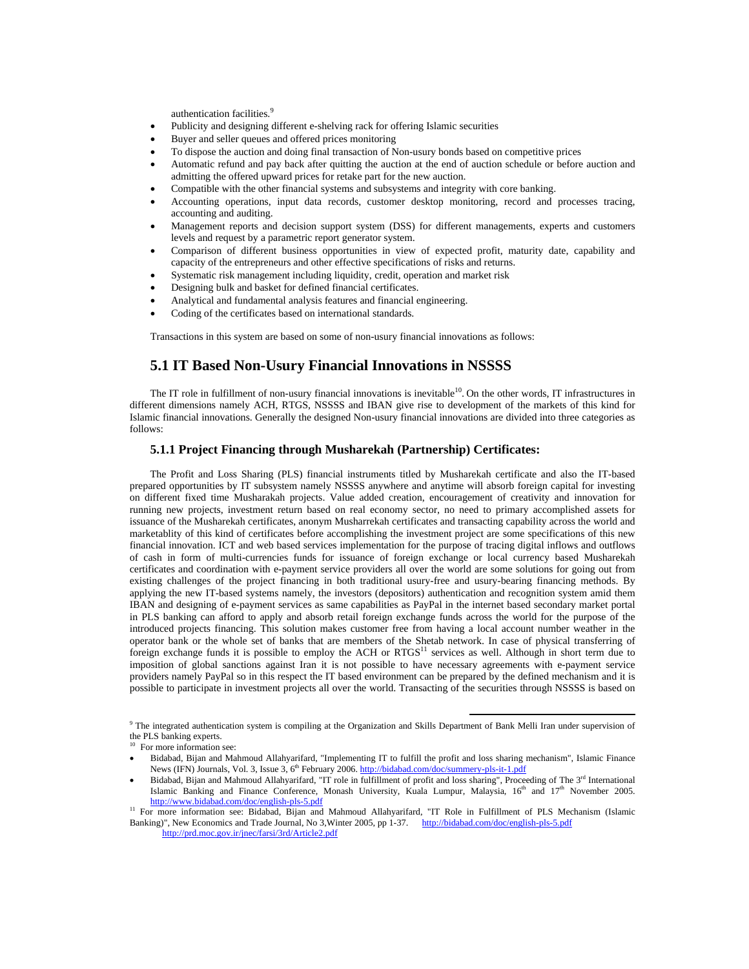authentication facilities.<sup>9</sup>

- Publicity and designing different e-shelving rack for offering Islamic securities
- Buyer and seller queues and offered prices monitoring
- To dispose the auction and doing final transaction of Non-usury bonds based on competitive prices
- Automatic refund and pay back after quitting the auction at the end of auction schedule or before auction and admitting the offered upward prices for retake part for the new auction.
- Compatible with the other financial systems and subsystems and integrity with core banking.
- Accounting operations, input data records, customer desktop monitoring, record and processes tracing, accounting and auditing.
- Management reports and decision support system (DSS) for different managements, experts and customers levels and request by a parametric report generator system.
- Comparison of different business opportunities in view of expected profit, maturity date, capability and capacity of the entrepreneurs and other effective specifications of risks and returns.
- Systematic risk management including liquidity, credit, operation and market risk
- Designing bulk and basket for defined financial certificates.
- Analytical and fundamental analysis features and financial engineering.
- Coding of the certificates based on international standards.

Transactions in this system are based on some of non-usury financial innovations as follows:

## **5.1 IT Based Non-Usury Financial Innovations in NSSSS**

The IT role in fulfillment of non-usury financial innovations is inevitable<sup>10</sup>. On the other words, IT infrastructures in different dimensions namely ACH, RTGS, NSSSS and IBAN give rise to development of the markets of this kind for Islamic financial innovations. Generally the designed Non-usury financial innovations are divided into three categories as follows:

### **5.1.1 Project Financing through Musharekah (Partnership) Certificates:**

The Profit and Loss Sharing (PLS) financial instruments titled by Musharekah certificate and also the IT-based prepared opportunities by IT subsystem namely NSSSS anywhere and anytime will absorb foreign capital for investing on different fixed time Musharakah projects. Value added creation, encouragement of creativity and innovation for running new projects, investment return based on real economy sector, no need to primary accomplished assets for issuance of the Musharekah certificates, anonym Musharrekah certificates and transacting capability across the world and marketablity of this kind of certificates before accomplishing the investment project are some specifications of this new financial innovation. ICT and web based services implementation for the purpose of tracing digital inflows and outflows of cash in form of multi-currencies funds for issuance of foreign exchange or local currency based Musharekah certificates and coordination with e-payment service providers all over the world are some solutions for going out from existing challenges of the project financing in both traditional usury-free and usury-bearing financing methods. By applying the new IT-based systems namely, the investors (depositors) authentication and recognition system amid them IBAN and designing of e-payment services as same capabilities as PayPal in the internet based secondary market portal in PLS banking can afford to apply and absorb retail foreign exchange funds across the world for the purpose of the introduced projects financing. This solution makes customer free from having a local account number weather in the operator bank or the whole set of banks that are members of the Shetab network. In case of physical transferring of foreign exchange funds it is possible to employ the ACH or RTGS<sup>11</sup> services as well. Although in short term due to imposition of global sanctions against Iran it is not possible to have necessary agreements with e-payment service providers namely PayPal so in this respect the IT based environment can be prepared by the defined mechanism and it is possible to participate in investment projects all over the world. Transacting of the securities through NSSSS is based on

<sup>&</sup>lt;sup>9</sup> The integrated authentication system is compiling at the Organization and Skills Department of Bank Melli Iran under supervision of the PLS banking experts.

For more information see:

Bidabad, Bijan and Mahmoud Allahyarifard, "Implementing IT to fulfill the profit and loss sharing mechanism", Islamic Finance News (IFN) Journals, Vol. 3, Issue 3, 6<sup>th</sup> February 2006. http://bidabad.com/doc/summery-pls-it-1.pdf

Bidabad, Bijan and Mahmoud Allahyarifard, "IT role in fulfillment of profit and loss sharing", Proceeding of The 3rd International Islamic Banking and Finance Conference, Monash University, Kuala Lumpur, Malaysia,  $16<sup>th</sup>$  and  $17<sup>th</sup>$  November 2005.<br>http://www.bidabad.com/doc/english-pls-5.pdf

<sup>&</sup>lt;sup>11</sup> For more information see: Bidabad, Bijan and Mahmoud Allahyarifard, "IT Role in Fulfillment of PLS Mechanism (Islamic Banking)", New Economics and Trade Journal, No 3, Winter 2005, pp 1-37. http://bidabad.com/doc/english-pls-5.pdf

http://prd.moc.gov.ir/jnec/farsi/3rd/Article2.pdf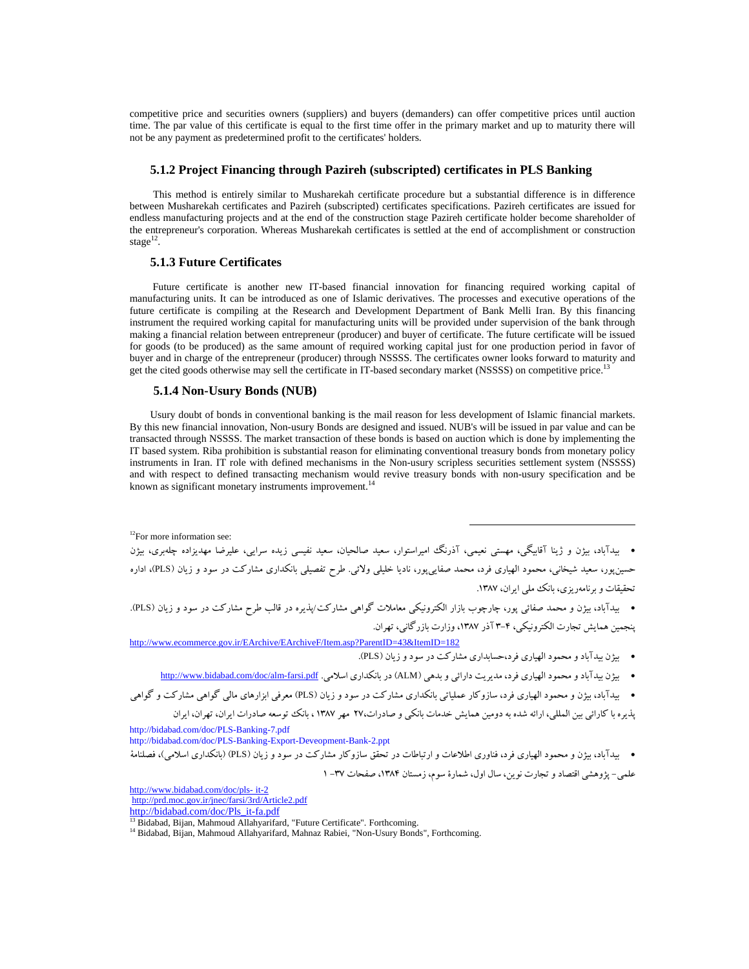competitive price and securities owners (suppliers) and buyers (demanders) can offer competitive prices until auction time. The par value of this certificate is equal to the first time offer in the primary market and up to maturity there will not be any payment as predetermined profit to the certificates' holders.

#### **5.1.2 Project Financing through Pazireh (subscripted) certificates in PLS Banking**

This method is entirely similar to Musharekah certificate procedure but a substantial difference is in difference between Musharekah certificates and Pazireh (subscripted) certificates specifications. Pazireh certificates are issued for endless manufacturing projects and at the end of the construction stage Pazireh certificate holder become shareholder of the entrepreneur's corporation. Whereas Musharekah certificates is settled at the end of accomplishment or construction stage $^{12}$ .

### **5.1.3 Future Certificates**

 Future certificate is another new IT-based financial innovation for financing required working capital of manufacturing units. It can be introduced as one of Islamic derivatives. The processes and executive operations of the future certificate is compiling at the Research and Development Department of Bank Melli Iran. By this financing instrument the required working capital for manufacturing units will be provided under supervision of the bank through making a financial relation between entrepreneur (producer) and buyer of certificate. The future certificate will be issued for goods (to be produced) as the same amount of required working capital just for one production period in favor of buyer and in charge of the entrepreneur (producer) through NSSSS. The certificates owner looks forward to maturity and get the cited goods otherwise may sell the certificate in IT-based secondary market (NSSSS) on competitive price.<sup>13</sup>

### **5.1.4 Non-Usury Bonds (NUB)**

Usury doubt of bonds in conventional banking is the mail reason for less development of Islamic financial markets. By this new financial innovation, Non-usury Bonds are designed and issued. NUB's will be issued in par value and can be transacted through NSSSS. The market transaction of these bonds is based on auction which is done by implementing the IT based system. Riba prohibition is substantial reason for eliminating conventional treasury bonds from monetary policy instruments in Iran. IT role with defined mechanisms in the Non-usury scripless securities settlement system (NSSSS) and with respect to defined transacting mechanism would revive treasury bonds with non-usury specification and be known as significant monetary instruments improvement.<sup>14</sup>

<sup>12</sup>For more information see:

 بيدآباد، بيژن و ژينا آقابيگي، مهستي نعيمي، آذرنگ اميراستوار، سعيد صالحيان، سعيد نفيسي زيده سرايي، عليرضا مهديزاده چلهبري، بيژن حسينپور، سعيد شيخاني، محمود الهياري فرد، محمد صفاييپور، ناديا خليلي ولائي. طرح تفصيلي بانكداري مشاركت در سود و زيان (PLS(، اداره تحقيقات و برنامهريزي، بانك ملي ايران، .1387

 بيدآباد، بيژن و محمد صفائي پور، چارچوب بازار الكترونيكي معاملات گواهي مشاركت/پذيره در قالب طرح مشاركت در سود و زيان (PLS(. پنجمين همايش تجارت الكترونيكي، 3-4 آذر ،1387 وزارت بازرگاني، تهران.

http://www.ecommerce.gov.ir/EArchive/EArchiveF/Item.asp?ParentID=43&ItemID=182 بيژن بيدآباد ومحمود الهياري فرد،حسابداري مشاركت در سود و زيان (PLS(.

بيژن بيدآباد ومحمود الهياري فرد، مديريت دارائي و بدهي (ALM (در بانكداري اسلامي. pdf.farsi-alm/doc/com.bidabad.www://http

بيدآباد، بيژن و محمود الهياري فرد، سازوكار عملياتي بانكداري مشاركت در سود و زيان (PLS (معرفي ابزارهاي مالي گواهي مشاركت و گواهي

پذيره با كارائي بين المللي، ارائه شده به دومين همايش خدمات بانكي و صادرات27، مهر 1387 ، بانك توسعه صادرات ايران، تهران، ايران

http://bidabad.com/doc/PLS-Banking-7.pdf

http://bidabad.com/doc/PLS-Banking-Export-Deveopment-Bank-2.ppt

 بيدآباد، بيژن و محمود الهياري فرد، فناوري اطلاعات و ارتباطات در تحقق سازوكار مشاركت در سود و زيان (PLS) (بانكداري اسلامي)، فصلنامة علمي- پژوهشي اقتصاد و تجارت نوين، سال اول، شمارهٔ سوم، زمستان ۱۳۸۴، صفحات ٣٧- ١

http://www.bidabad.com/doc/pls- it-2

http://prd.moc.gov.ir/jnec/farsi/3rd/Article2.pdf

http://bidabad.com/doc/Pls\_it-fa.pdf

<sup>&</sup>lt;sup>13</sup> Bidabad, Bijan, Mahmoud Allahyarifard, "Future Certificate". Forthcoming.

<sup>&</sup>lt;sup>14</sup> Bidabad, Bijan, Mahmoud Allahyarifard, Mahnaz Rabiei, "Non-Usury Bonds", Forthcoming.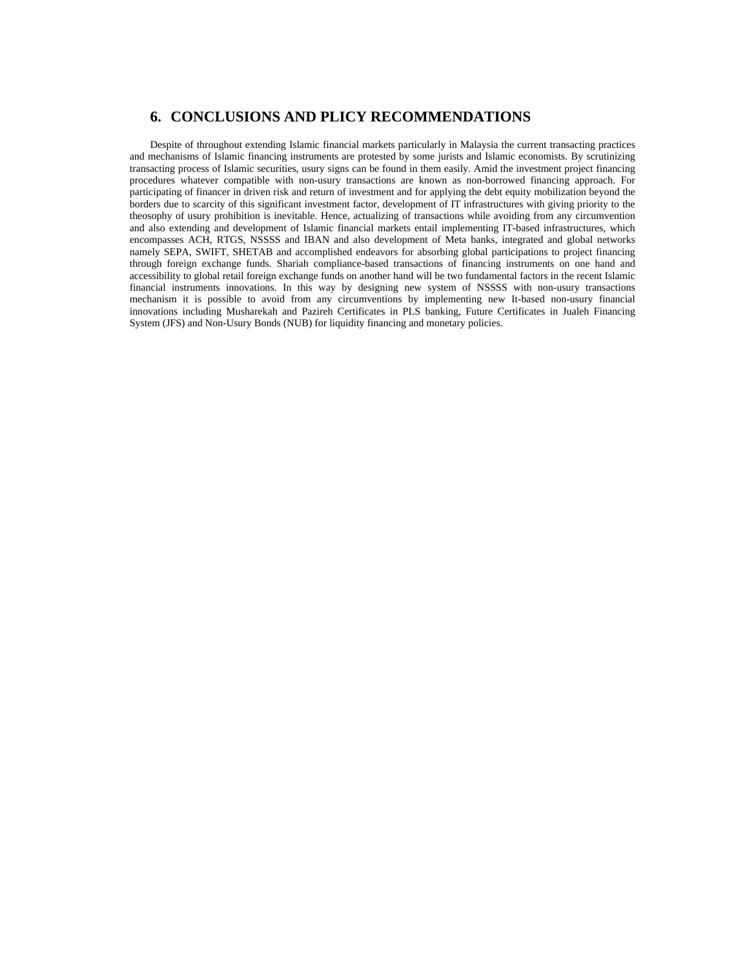## **6. CONCLUSIONS AND PLICY RECOMMENDATIONS**

Despite of throughout extending Islamic financial markets particularly in Malaysia the current transacting practices and mechanisms of Islamic financing instruments are protested by some jurists and Islamic economists. By scrutinizing transacting process of Islamic securities, usury signs can be found in them easily. Amid the investment project financing procedures whatever compatible with non-usury transactions are known as non-borrowed financing approach. For participating of financer in driven risk and return of investment and for applying the debt equity mobilization beyond the borders due to scarcity of this significant investment factor, development of IT infrastructures with giving priority to the theosophy of usury prohibition is inevitable. Hence, actualizing of transactions while avoiding from any circumvention and also extending and development of Islamic financial markets entail implementing IT-based infrastructures, which encompasses ACH, RTGS, NSSSS and IBAN and also development of Meta banks, integrated and global networks namely SEPA, SWIFT, SHETAB and accomplished endeavors for absorbing global participations to project financing through foreign exchange funds. Shariah compliance-based transactions of financing instruments on one hand and accessibility to global retail foreign exchange funds on another hand will be two fundamental factors in the recent Islamic financial instruments innovations. In this way by designing new system of NSSSS with non-usury transactions mechanism it is possible to avoid from any circumventions by implementing new It-based non-usury financial innovations including Musharekah and Pazireh Certificates in PLS banking, Future Certificates in Jualeh Financing System (JFS) and Non-Usury Bonds (NUB) for liquidity financing and monetary policies.